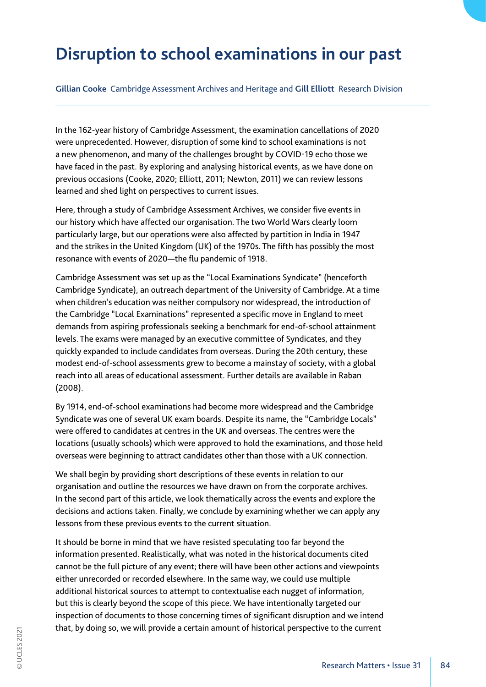# **Disruption to school examinations in our past**

**Gillian Cooke** Cambridge Assessment Archives and Heritage and **Gill Elliott** Research Division

In the 162-year history of Cambridge Assessment, the examination cancellations of 2020 were unprecedented. However, disruption of some kind to school examinations is not a new phenomenon, and many of the challenges brought by COVID-19 echo those we have faced in the past. By exploring and analysing historical events, as we have done on previous occasions (Cooke, 2020; Elliott, 2011; Newton, 2011) we can review lessons learned and shed light on perspectives to current issues.

Here, through a study of Cambridge Assessment Archives, we consider five events in our history which have affected our organisation. The two World Wars clearly loom particularly large, but our operations were also affected by partition in India in 1947 and the strikes in the United Kingdom (UK) of the 1970s. The fifth has possibly the most resonance with events of 2020—the flu pandemic of 1918.

Cambridge Assessment was set up as the "Local Examinations Syndicate" (henceforth Cambridge Syndicate), an outreach department of the University of Cambridge. At a time when children's education was neither compulsory nor widespread, the introduction of the Cambridge "Local Examinations" represented a specific move in England to meet demands from aspiring professionals seeking a benchmark for end-of-school attainment levels. The exams were managed by an executive committee of Syndicates, and they quickly expanded to include candidates from overseas. During the 20th century, these modest end-of-school assessments grew to become a mainstay of society, with a global reach into all areas of educational assessment. Further details are available in Raban (2008).

By 1914, end-of-school examinations had become more widespread and the Cambridge Syndicate was one of several UK exam boards. Despite its name, the "Cambridge Locals" were offered to candidates at centres in the UK and overseas. The centres were the locations (usually schools) which were approved to hold the examinations, and those held overseas were beginning to attract candidates other than those with a UK connection.

We shall begin by providing short descriptions of these events in relation to our organisation and outline the resources we have drawn on from the corporate archives. In the second part of this article, we look thematically across the events and explore the decisions and actions taken. Finally, we conclude by examining whether we can apply any lessons from these previous events to the current situation.

It should be borne in mind that we have resisted speculating too far beyond the information presented. Realistically, what was noted in the historical documents cited cannot be the full picture of any event; there will have been other actions and viewpoints either unrecorded or recorded elsewhere. In the same way, we could use multiple additional historical sources to attempt to contextualise each nugget of information, but this is clearly beyond the scope of this piece. We have intentionally targeted our inspection of documents to those concerning times of significant disruption and we intend that, by doing so, we will provide a certain amount of historical perspective to the current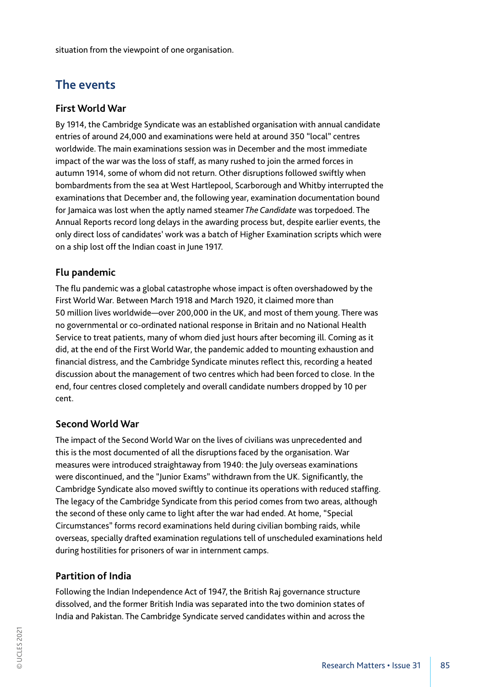situation from the viewpoint of one organisation.

# **The events**

# **First World War**

By 1914, the Cambridge Syndicate was an established organisation with annual candidate entries of around 24,000 and examinations were held at around 350 "local" centres worldwide. The main examinations session was in December and the most immediate impact of the war was the loss of staff, as many rushed to join the armed forces in autumn 1914, some of whom did not return. Other disruptions followed swiftly when bombardments from the sea at West Hartlepool, Scarborough and Whitby interrupted the examinations that December and, the following year, examination documentation bound for Jamaica was lost when the aptly named steamer *The Candidate* was torpedoed. The Annual Reports record long delays in the awarding process but, despite earlier events, the only direct loss of candidates' work was a batch of Higher Examination scripts which were on a ship lost off the Indian coast in June 1917.

# **Flu pandemic**

The flu pandemic was a global catastrophe whose impact is often overshadowed by the First World War. Between March 1918 and March 1920, it claimed more than 50 million lives worldwide—over 200,000 in the UK, and most of them young. There was no governmental or co-ordinated national response in Britain and no National Health Service to treat patients, many of whom died just hours after becoming ill. Coming as it did, at the end of the First World War, the pandemic added to mounting exhaustion and financial distress, and the Cambridge Syndicate minutes reflect this, recording a heated discussion about the management of two centres which had been forced to close. In the end, four centres closed completely and overall candidate numbers dropped by 10 per cent.

# **Second World War**

The impact of the Second World War on the lives of civilians was unprecedented and this is the most documented of all the disruptions faced by the organisation. War measures were introduced straightaway from 1940: the July overseas examinations were discontinued, and the "Junior Exams" withdrawn from the UK. Significantly, the Cambridge Syndicate also moved swiftly to continue its operations with reduced staffing. The legacy of the Cambridge Syndicate from this period comes from two areas, although the second of these only came to light after the war had ended. At home, "Special Circumstances" forms record examinations held during civilian bombing raids, while overseas, specially drafted examination regulations tell of unscheduled examinations held during hostilities for prisoners of war in internment camps.

# **Partition of India**

Following the Indian Independence Act of 1947, the British Raj governance structure dissolved, and the former British India was separated into the two dominion states of India and Pakistan. The Cambridge Syndicate served candidates within and across the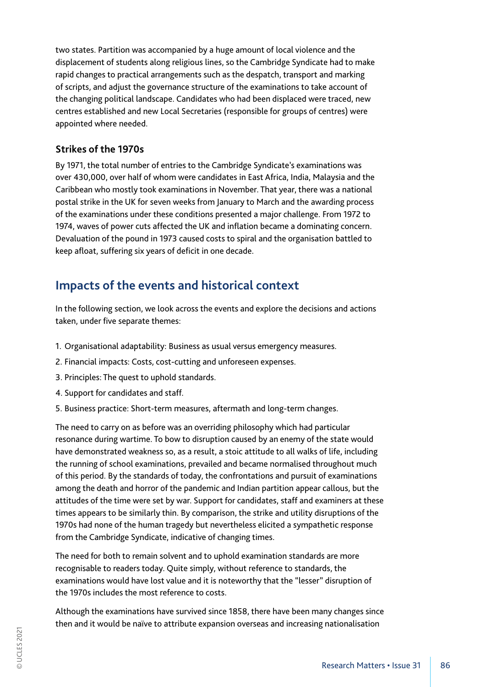two states. Partition was accompanied by a huge amount of local violence and the displacement of students along religious lines, so the Cambridge Syndicate had to make rapid changes to practical arrangements such as the despatch, transport and marking of scripts, and adjust the governance structure of the examinations to take account of the changing political landscape. Candidates who had been displaced were traced, new centres established and new Local Secretaries (responsible for groups of centres) were appointed where needed.

### **Strikes of the 1970s**

By 1971, the total number of entries to the Cambridge Syndicate's examinations was over 430,000, over half of whom were candidates in East Africa, India, Malaysia and the Caribbean who mostly took examinations in November. That year, there was a national postal strike in the UK for seven weeks from January to March and the awarding process of the examinations under these conditions presented a major challenge. From 1972 to 1974, waves of power cuts affected the UK and inflation became a dominating concern. Devaluation of the pound in 1973 caused costs to spiral and the organisation battled to keep afloat, suffering six years of deficit in one decade.

# **Impacts of the events and historical context**

In the following section, we look across the events and explore the decisions and actions taken, under five separate themes:

- 1. Organisational adaptability: Business as usual versus emergency measures.
- 2. Financial impacts: Costs, cost-cutting and unforeseen expenses.
- 3. Principles: The quest to uphold standards.
- 4. Support for candidates and staff.
- 5. Business practice: Short-term measures, aftermath and long-term changes.

The need to carry on as before was an overriding philosophy which had particular resonance during wartime. To bow to disruption caused by an enemy of the state would have demonstrated weakness so, as a result, a stoic attitude to all walks of life, including the running of school examinations, prevailed and became normalised throughout much of this period. By the standards of today, the confrontations and pursuit of examinations among the death and horror of the pandemic and Indian partition appear callous, but the attitudes of the time were set by war. Support for candidates, staff and examiners at these times appears to be similarly thin. By comparison, the strike and utility disruptions of the 1970s had none of the human tragedy but nevertheless elicited a sympathetic response from the Cambridge Syndicate, indicative of changing times.

The need for both to remain solvent and to uphold examination standards are more recognisable to readers today. Quite simply, without reference to standards, the examinations would have lost value and it is noteworthy that the "lesser" disruption of the 1970s includes the most reference to costs.

Although the examinations have survived since 1858, there have been many changes since then and it would be naïve to attribute expansion overseas and increasing nationalisation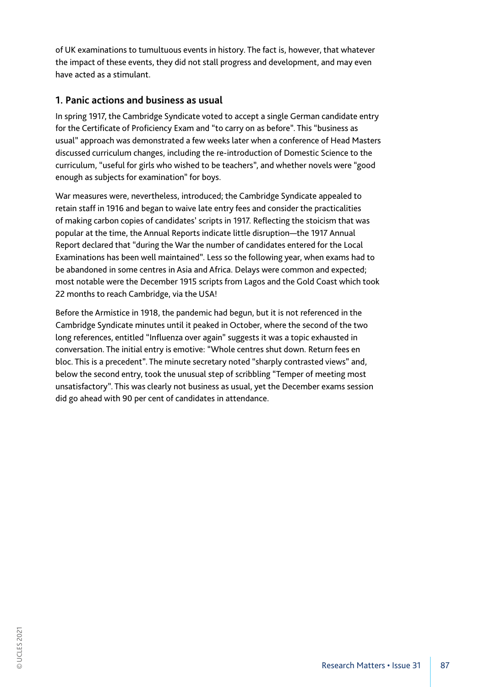of UK examinations to tumultuous events in history. The fact is, however, that whatever the impact of these events, they did not stall progress and development, and may even have acted as a stimulant.

# **1. Panic actions and business as usual**

In spring 1917, the Cambridge Syndicate voted to accept a single German candidate entry for the Certificate of Proficiency Exam and "to carry on as before". This "business as usual" approach was demonstrated a few weeks later when a conference of Head Masters discussed curriculum changes, including the re-introduction of Domestic Science to the curriculum, "useful for girls who wished to be teachers", and whether novels were "good enough as subjects for examination" for boys.

War measures were, nevertheless, introduced; the Cambridge Syndicate appealed to retain staff in 1916 and began to waive late entry fees and consider the practicalities of making carbon copies of candidates' scripts in 1917. Reflecting the stoicism that was popular at the time, the Annual Reports indicate little disruption—the 1917 Annual Report declared that "during the War the number of candidates entered for the Local Examinations has been well maintained". Less so the following year, when exams had to be abandoned in some centres in Asia and Africa. Delays were common and expected; most notable were the December 1915 scripts from Lagos and the Gold Coast which took 22 months to reach Cambridge, via the USA!

Before the Armistice in 1918, the pandemic had begun, but it is not referenced in the Cambridge Syndicate minutes until it peaked in October, where the second of the two long references, entitled "Influenza over again" suggests it was a topic exhausted in conversation. The initial entry is emotive: "Whole centres shut down. Return fees en bloc. This is a precedent". The minute secretary noted "sharply contrasted views" and, below the second entry, took the unusual step of scribbling "Temper of meeting most unsatisfactory". This was clearly not business as usual, yet the December exams session did go ahead with 90 per cent of candidates in attendance.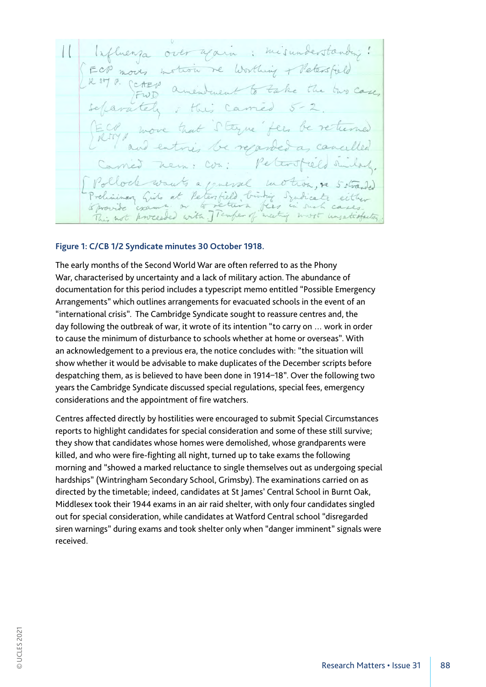misundersta Worthing + Petersfie FWD Etyne fees be re reparde 1 2 mencel Peter field Syndicate return fees in such cases Esca Temper of meet with wort unjatisfactor proceeded

#### **Figure 1: C/CB 1/2 Syndicate minutes 30 October 1918.**

The early months of the Second World War are often referred to as the Phony War, characterised by uncertainty and a lack of military action. The abundance of documentation for this period includes a typescript memo entitled "Possible Emergency Arrangements" which outlines arrangements for evacuated schools in the event of an "international crisis". The Cambridge Syndicate sought to reassure centres and, the day following the outbreak of war, it wrote of its intention "to carry on … work in order to cause the minimum of disturbance to schools whether at home or overseas". With an acknowledgement to a previous era, the notice concludes with: "the situation will show whether it would be advisable to make duplicates of the December scripts before despatching them, as is believed to have been done in 1914–18". Over the following two years the Cambridge Syndicate discussed special regulations, special fees, emergency considerations and the appointment of fire watchers.

Centres affected directly by hostilities were encouraged to submit Special Circumstances reports to highlight candidates for special consideration and some of these still survive; they show that candidates whose homes were demolished, whose grandparents were killed, and who were fire-fighting all night, turned up to take exams the following morning and "showed a marked reluctance to single themselves out as undergoing special hardships" (Wintringham Secondary School, Grimsby). The examinations carried on as directed by the timetable; indeed, candidates at St James' Central School in Burnt Oak, Middlesex took their 1944 exams in an air raid shelter, with only four candidates singled out for special consideration, while candidates at Watford Central school "disregarded siren warnings" during exams and took shelter only when "danger imminent" signals were received.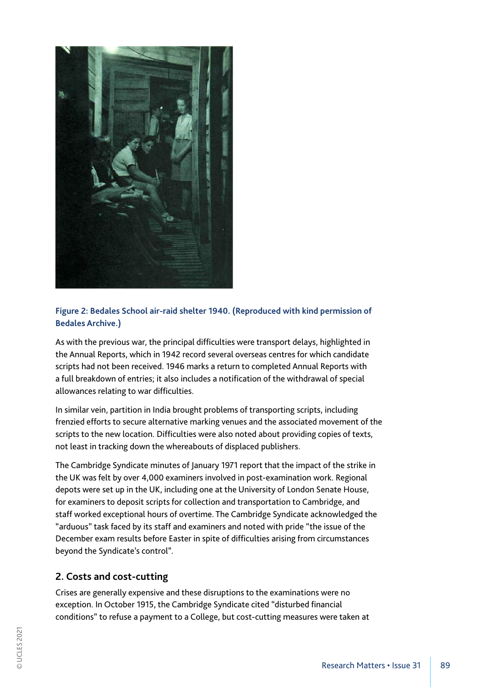

# **Figure 2: Bedales School air-raid shelter 1940. (Reproduced with kind permission of Bedales Archive.)**

As with the previous war, the principal difficulties were transport delays, highlighted in the Annual Reports, which in 1942 record several overseas centres for which candidate scripts had not been received. 1946 marks a return to completed Annual Reports with a full breakdown of entries; it also includes a notification of the withdrawal of special allowances relating to war difficulties.

In similar vein, partition in India brought problems of transporting scripts, including frenzied efforts to secure alternative marking venues and the associated movement of the scripts to the new location. Difficulties were also noted about providing copies of texts, not least in tracking down the whereabouts of displaced publishers.

The Cambridge Syndicate minutes of January 1971 report that the impact of the strike in the UK was felt by over 4,000 examiners involved in post-examination work. Regional depots were set up in the UK, including one at the University of London Senate House, for examiners to deposit scripts for collection and transportation to Cambridge, and staff worked exceptional hours of overtime. The Cambridge Syndicate acknowledged the "arduous" task faced by its staff and examiners and noted with pride "the issue of the December exam results before Easter in spite of difficulties arising from circumstances beyond the Syndicate's control".

# **2. Costs and cost-cutting**

Crises are generally expensive and these disruptions to the examinations were no exception. In October 1915, the Cambridge Syndicate cited "disturbed financial conditions" to refuse a payment to a College, but cost-cutting measures were taken at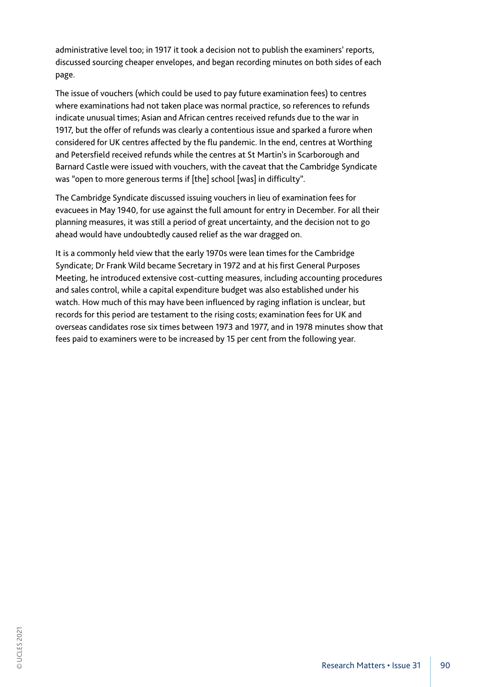administrative level too; in 1917 it took a decision not to publish the examiners' reports, discussed sourcing cheaper envelopes, and began recording minutes on both sides of each page.

The issue of vouchers (which could be used to pay future examination fees) to centres where examinations had not taken place was normal practice, so references to refunds indicate unusual times; Asian and African centres received refunds due to the war in 1917, but the offer of refunds was clearly a contentious issue and sparked a furore when considered for UK centres affected by the flu pandemic. In the end, centres at Worthing and Petersfield received refunds while the centres at St Martin's in Scarborough and Barnard Castle were issued with vouchers, with the caveat that the Cambridge Syndicate was "open to more generous terms if [the] school [was] in difficulty".

The Cambridge Syndicate discussed issuing vouchers in lieu of examination fees for evacuees in May 1940, for use against the full amount for entry in December. For all their planning measures, it was still a period of great uncertainty, and the decision not to go ahead would have undoubtedly caused relief as the war dragged on.

It is a commonly held view that the early 1970s were lean times for the Cambridge Syndicate; Dr Frank Wild became Secretary in 1972 and at his first General Purposes Meeting, he introduced extensive cost-cutting measures, including accounting procedures and sales control, while a capital expenditure budget was also established under his watch. How much of this may have been influenced by raging inflation is unclear, but records for this period are testament to the rising costs; examination fees for UK and overseas candidates rose six times between 1973 and 1977, and in 1978 minutes show that fees paid to examiners were to be increased by 15 per cent from the following year.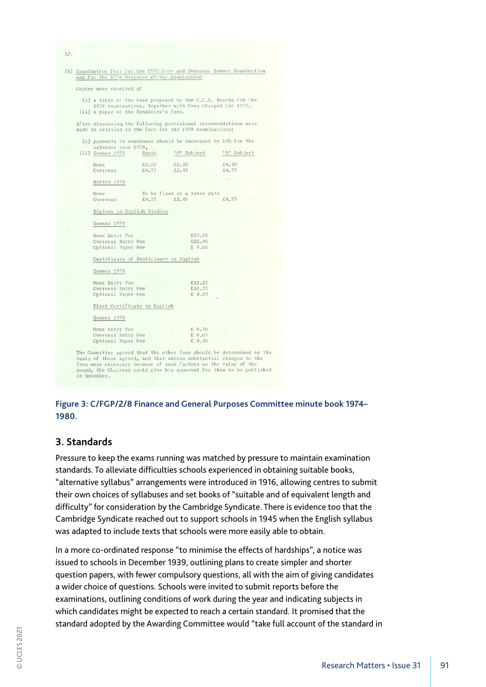| Copies were received of                                                                                                     |       |               |                             |             |
|-----------------------------------------------------------------------------------------------------------------------------|-------|---------------|-----------------------------|-------------|
| (i) a table of the fees proposed by the G.C.E. Boards for the<br>1978 examinations, together with fees charged for 1977,    |       |               |                             |             |
| (ii) a paper of the Syndicate's fees.                                                                                       |       |               |                             |             |
| After discussion, the following provisional recommendations were<br>made in relation to the fees for the 1978 examinations: |       |               |                             |             |
| (i) payments to examiners should be increased by 10% for the<br>calendar year 1978,                                         |       |               |                             |             |
| (ii) Summer 1978                                                                                                            | Basic |               | 'O' Subject                 | 'A' Subject |
| Home                                                                                                                        | £2,50 | \$2.20        |                             | £4.30       |
| Overseas                                                                                                                    | £4.75 | £2.45         |                             | £4.75       |
| Winter 1978                                                                                                                 |       |               |                             |             |
| Home                                                                                                                        |       |               | To be fixed at a later date |             |
| Overseas                                                                                                                    |       | $£4.75$ £2.45 |                             | £4.75       |
| Diploma in English Studies                                                                                                  |       |               |                             |             |
| Summer 1978                                                                                                                 |       |               |                             |             |
| Home Entry Fee                                                                                                              |       |               | £23.50                      |             |
| Overseas Entry Fee                                                                                                          |       |               | \$22.40                     |             |
| Optional Paper Fee                                                                                                          |       |               | £9.00                       |             |
| Certificate of Proficiency in English                                                                                       |       |               |                             |             |
| Summer 1978                                                                                                                 |       |               |                             |             |
| Home Entry Fee                                                                                                              |       |               | £11.25                      |             |
| Overseas Entry Fee                                                                                                          |       |               | £10.55                      |             |
| Optional Paper Fee                                                                                                          |       |               | £ 4.85                      |             |
| First Certificate in English                                                                                                |       |               |                             |             |
| Summer 1978                                                                                                                 |       |               |                             |             |
|                                                                                                                             |       |               | £9.70                       |             |
| Home Entry Fee<br>Overseas Entry Fee                                                                                        |       |               | £9.05                       |             |



#### **3. Standards**

Pressure to keep the exams running was matched by pressure to maintain examination standards. To alleviate difficulties schools experienced in obtaining suitable books, "alternative syllabus" arrangements were introduced in 1916, allowing centres to submit their own choices of syllabuses and set books of "suitable and of equivalent length and difficulty" for consideration by the Cambridge Syndicate. There is evidence too that the Cambridge Syndicate reached out to support schools in 1945 when the English syllabus was adapted to include texts that schools were more easily able to obtain.

In a more co-ordinated response "to minimise the effects of hardships", a notice was issued to schools in December 1939, outlining plans to create simpler and shorter question papers, with fewer compulsory questions, all with the aim of giving candidates a wider choice of questions. Schools were invited to submit reports before the examinations, outlining conditions of work during the year and indicating subjects in which candidates might be expected to reach a certain standard. It promised that the standard adopted by the Awarding Committee would "take full account of the standard in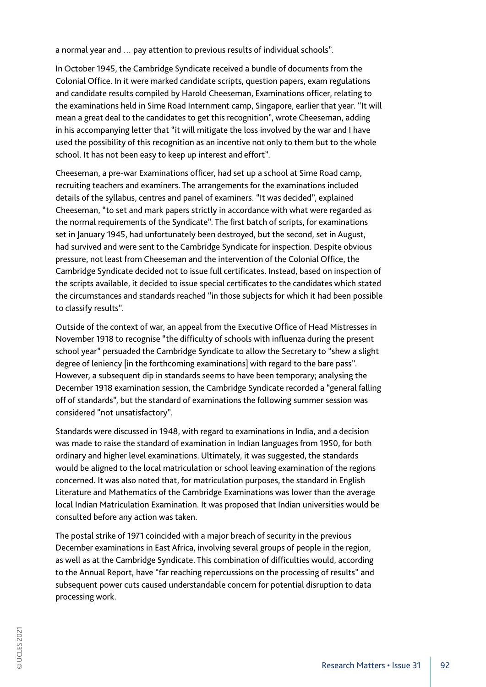a normal year and … pay attention to previous results of individual schools".

In October 1945, the Cambridge Syndicate received a bundle of documents from the Colonial Office. In it were marked candidate scripts, question papers, exam regulations and candidate results compiled by Harold Cheeseman, Examinations officer, relating to the examinations held in Sime Road Internment camp, Singapore, earlier that year. "It will mean a great deal to the candidates to get this recognition", wrote Cheeseman, adding in his accompanying letter that "it will mitigate the loss involved by the war and I have used the possibility of this recognition as an incentive not only to them but to the whole school. It has not been easy to keep up interest and effort".

Cheeseman, a pre-war Examinations officer, had set up a school at Sime Road camp, recruiting teachers and examiners. The arrangements for the examinations included details of the syllabus, centres and panel of examiners. "It was decided", explained Cheeseman, "to set and mark papers strictly in accordance with what were regarded as the normal requirements of the Syndicate". The first batch of scripts, for examinations set in January 1945, had unfortunately been destroyed, but the second, set in August, had survived and were sent to the Cambridge Syndicate for inspection. Despite obvious pressure, not least from Cheeseman and the intervention of the Colonial Office, the Cambridge Syndicate decided not to issue full certificates. Instead, based on inspection of the scripts available, it decided to issue special certificates to the candidates which stated the circumstances and standards reached "in those subjects for which it had been possible to classify results".

Outside of the context of war, an appeal from the Executive Office of Head Mistresses in November 1918 to recognise "the difficulty of schools with influenza during the present school year" persuaded the Cambridge Syndicate to allow the Secretary to "shew a slight degree of leniency [in the forthcoming examinations] with regard to the bare pass". However, a subsequent dip in standards seems to have been temporary; analysing the December 1918 examination session, the Cambridge Syndicate recorded a "general falling off of standards", but the standard of examinations the following summer session was considered "not unsatisfactory".

Standards were discussed in 1948, with regard to examinations in India, and a decision was made to raise the standard of examination in Indian languages from 1950, for both ordinary and higher level examinations. Ultimately, it was suggested, the standards would be aligned to the local matriculation or school leaving examination of the regions concerned. It was also noted that, for matriculation purposes, the standard in English Literature and Mathematics of the Cambridge Examinations was lower than the average local Indian Matriculation Examination. It was proposed that Indian universities would be consulted before any action was taken.

The postal strike of 1971 coincided with a major breach of security in the previous December examinations in East Africa, involving several groups of people in the region, as well as at the Cambridge Syndicate. This combination of difficulties would, according to the Annual Report, have "far reaching repercussions on the processing of results" and subsequent power cuts caused understandable concern for potential disruption to data processing work.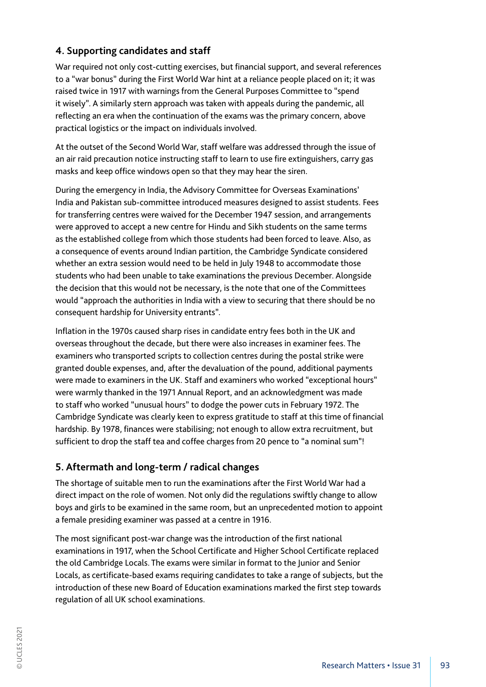# **4. Supporting candidates and staff**

War required not only cost-cutting exercises, but financial support, and several references to a "war bonus" during the First World War hint at a reliance people placed on it; it was raised twice in 1917 with warnings from the General Purposes Committee to "spend it wisely". A similarly stern approach was taken with appeals during the pandemic, all reflecting an era when the continuation of the exams was the primary concern, above practical logistics or the impact on individuals involved.

At the outset of the Second World War, staff welfare was addressed through the issue of an air raid precaution notice instructing staff to learn to use fire extinguishers, carry gas masks and keep office windows open so that they may hear the siren.

During the emergency in India, the Advisory Committee for Overseas Examinations' India and Pakistan sub-committee introduced measures designed to assist students. Fees for transferring centres were waived for the December 1947 session, and arrangements were approved to accept a new centre for Hindu and Sikh students on the same terms as the established college from which those students had been forced to leave. Also, as a consequence of events around Indian partition, the Cambridge Syndicate considered whether an extra session would need to be held in July 1948 to accommodate those students who had been unable to take examinations the previous December. Alongside the decision that this would not be necessary, is the note that one of the Committees would "approach the authorities in India with a view to securing that there should be no consequent hardship for University entrants".

Inflation in the 1970s caused sharp rises in candidate entry fees both in the UK and overseas throughout the decade, but there were also increases in examiner fees. The examiners who transported scripts to collection centres during the postal strike were granted double expenses, and, after the devaluation of the pound, additional payments were made to examiners in the UK. Staff and examiners who worked "exceptional hours" were warmly thanked in the 1971 Annual Report, and an acknowledgment was made to staff who worked "unusual hours" to dodge the power cuts in February 1972. The Cambridge Syndicate was clearly keen to express gratitude to staff at this time of financial hardship. By 1978, finances were stabilising; not enough to allow extra recruitment, but sufficient to drop the staff tea and coffee charges from 20 pence to "a nominal sum"!

# **5. Aftermath and long-term / radical changes**

The shortage of suitable men to run the examinations after the First World War had a direct impact on the role of women. Not only did the regulations swiftly change to allow boys and girls to be examined in the same room, but an unprecedented motion to appoint a female presiding examiner was passed at a centre in 1916.

The most significant post-war change was the introduction of the first national examinations in 1917, when the School Certificate and Higher School Certificate replaced the old Cambridge Locals. The exams were similar in format to the Junior and Senior Locals, as certificate-based exams requiring candidates to take a range of subjects, but the introduction of these new Board of Education examinations marked the first step towards regulation of all UK school examinations.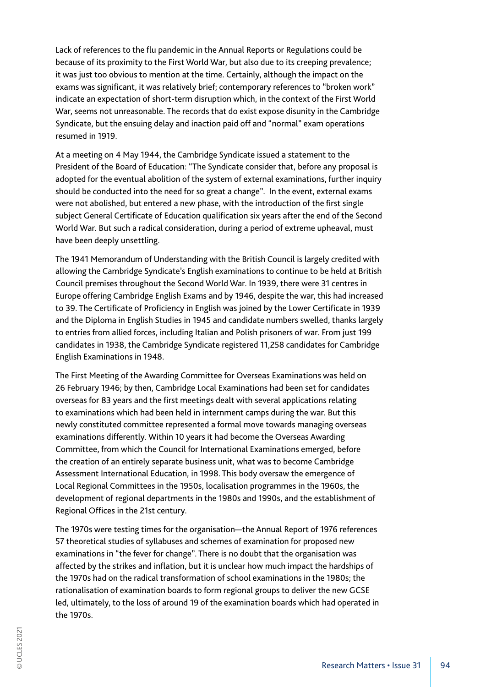Lack of references to the flu pandemic in the Annual Reports or Regulations could be because of its proximity to the First World War, but also due to its creeping prevalence; it was just too obvious to mention at the time. Certainly, although the impact on the exams was significant, it was relatively brief; contemporary references to "broken work" indicate an expectation of short-term disruption which, in the context of the First World War, seems not unreasonable. The records that do exist expose disunity in the Cambridge Syndicate, but the ensuing delay and inaction paid off and "normal" exam operations resumed in 1919.

At a meeting on 4 May 1944, the Cambridge Syndicate issued a statement to the President of the Board of Education: "The Syndicate consider that, before any proposal is adopted for the eventual abolition of the system of external examinations, further inquiry should be conducted into the need for so great a change". In the event, external exams were not abolished, but entered a new phase, with the introduction of the first single subject General Certificate of Education qualification six years after the end of the Second World War. But such a radical consideration, during a period of extreme upheaval, must have been deeply unsettling.

The 1941 Memorandum of Understanding with the British Council is largely credited with allowing the Cambridge Syndicate's English examinations to continue to be held at British Council premises throughout the Second World War. In 1939, there were 31 centres in Europe offering Cambridge English Exams and by 1946, despite the war, this had increased to 39. The Certificate of Proficiency in English was joined by the Lower Certificate in 1939 and the Diploma in English Studies in 1945 and candidate numbers swelled, thanks largely to entries from allied forces, including Italian and Polish prisoners of war. From just 199 candidates in 1938, the Cambridge Syndicate registered 11,258 candidates for Cambridge English Examinations in 1948.

The First Meeting of the Awarding Committee for Overseas Examinations was held on 26 February 1946; by then, Cambridge Local Examinations had been set for candidates overseas for 83 years and the first meetings dealt with several applications relating to examinations which had been held in internment camps during the war. But this newly constituted committee represented a formal move towards managing overseas examinations differently. Within 10 years it had become the Overseas Awarding Committee, from which the Council for International Examinations emerged, before the creation of an entirely separate business unit, what was to become Cambridge Assessment International Education, in 1998. This body oversaw the emergence of Local Regional Committees in the 1950s, localisation programmes in the 1960s, the development of regional departments in the 1980s and 1990s, and the establishment of Regional Offices in the 21st century.

The 1970s were testing times for the organisation—the Annual Report of 1976 references 57 theoretical studies of syllabuses and schemes of examination for proposed new examinations in "the fever for change". There is no doubt that the organisation was affected by the strikes and inflation, but it is unclear how much impact the hardships of the 1970s had on the radical transformation of school examinations in the 1980s; the rationalisation of examination boards to form regional groups to deliver the new GCSE led, ultimately, to the loss of around 19 of the examination boards which had operated in the 1970s.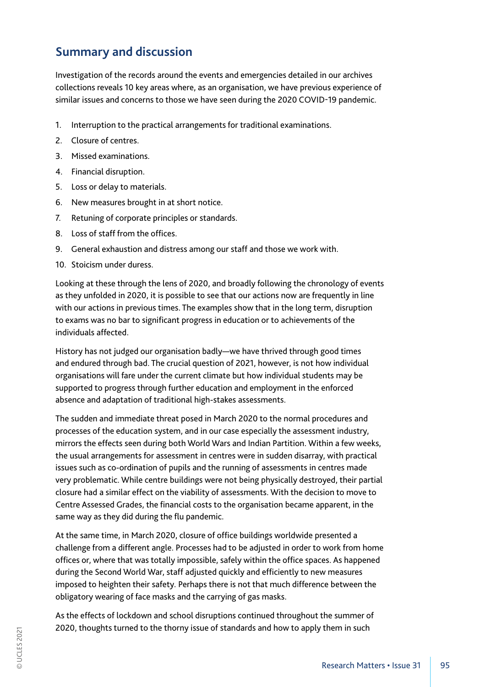# **Summary and discussion**

Investigation of the records around the events and emergencies detailed in our archives collections reveals 10 key areas where, as an organisation, we have previous experience of similar issues and concerns to those we have seen during the 2020 COVID-19 pandemic.

- 1. Interruption to the practical arrangements for traditional examinations.
- 2. Closure of centres.
- 3. Missed examinations.
- 4. Financial disruption.
- 5. Loss or delay to materials.
- 6. New measures brought in at short notice.
- 7. Retuning of corporate principles or standards.
- 8. Loss of staff from the offices.
- 9. General exhaustion and distress among our staff and those we work with.
- 10. Stoicism under duress.

Looking at these through the lens of 2020, and broadly following the chronology of events as they unfolded in 2020, it is possible to see that our actions now are frequently in line with our actions in previous times. The examples show that in the long term, disruption to exams was no bar to significant progress in education or to achievements of the individuals affected.

History has not judged our organisation badly—we have thrived through good times and endured through bad. The crucial question of 2021, however, is not how individual organisations will fare under the current climate but how individual students may be supported to progress through further education and employment in the enforced absence and adaptation of traditional high-stakes assessments.

The sudden and immediate threat posed in March 2020 to the normal procedures and processes of the education system, and in our case especially the assessment industry, mirrors the effects seen during both World Wars and Indian Partition. Within a few weeks, the usual arrangements for assessment in centres were in sudden disarray, with practical issues such as co-ordination of pupils and the running of assessments in centres made very problematic. While centre buildings were not being physically destroyed, their partial closure had a similar effect on the viability of assessments. With the decision to move to Centre Assessed Grades, the financial costs to the organisation became apparent, in the same way as they did during the flu pandemic.

At the same time, in March 2020, closure of office buildings worldwide presented a challenge from a different angle. Processes had to be adjusted in order to work from home offices or, where that was totally impossible, safely within the office spaces. As happened during the Second World War, staff adjusted quickly and efficiently to new measures imposed to heighten their safety. Perhaps there is not that much difference between the obligatory wearing of face masks and the carrying of gas masks.

As the effects of lockdown and school disruptions continued throughout the summer of 2020, thoughts turned to the thorny issue of standards and how to apply them in such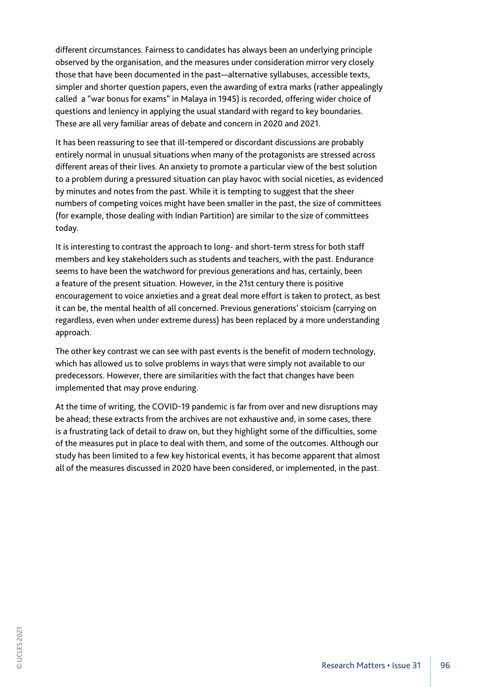different circumstances. Fairness to candidates has always been an underlying principle observed by the organisation, and the measures under consideration mirror very closely those that have been documented in the past—alternative syllabuses, accessible texts, simpler and shorter question papers, even the awarding of extra marks (rather appealingly called a "war bonus for exams" in Malaya in 1945) is recorded, offering wider choice of questions and leniency in applying the usual standard with regard to key boundaries. These are all very familiar areas of debate and concern in 2020 and 2021.

It has been reassuring to see that ill-tempered or discordant discussions are probably entirely normal in unusual situations when many of the protagonists are stressed across different areas of their lives. An anxiety to promote a particular view of the best solution to a problem during a pressured situation can play havoc with social niceties, as evidenced by minutes and notes from the past. While it is tempting to suggest that the sheer numbers of competing voices might have been smaller in the past, the size of committees (for example, those dealing with Indian Partition) are similar to the size of committees today.

It is interesting to contrast the approach to long- and short-term stress for both staff members and key stakeholders such as students and teachers, with the past. Endurance seems to have been the watchword for previous generations and has, certainly, been a feature of the present situation. However, in the 21st century there is positive encouragement to voice anxieties and a great deal more effort is taken to protect, as best it can be, the mental health of all concerned. Previous generations' stoicism (carrying on regardless, even when under extreme duress) has been replaced by a more understanding approach.

The other key contrast we can see with past events is the benefit of modern technology, which has allowed us to solve problems in ways that were simply not available to our predecessors. However, there are similarities with the fact that changes have been implemented that may prove enduring.

At the time of writing, the COVID-19 pandemic is far from over and new disruptions may be ahead; these extracts from the archives are not exhaustive and, in some cases, there is a frustrating lack of detail to draw on, but they highlight some of the difficulties, some of the measures put in place to deal with them, and some of the outcomes. Although our study has been limited to a few key historical events, it has become apparent that almost all of the measures discussed in 2020 have been considered, or implemented, in the past.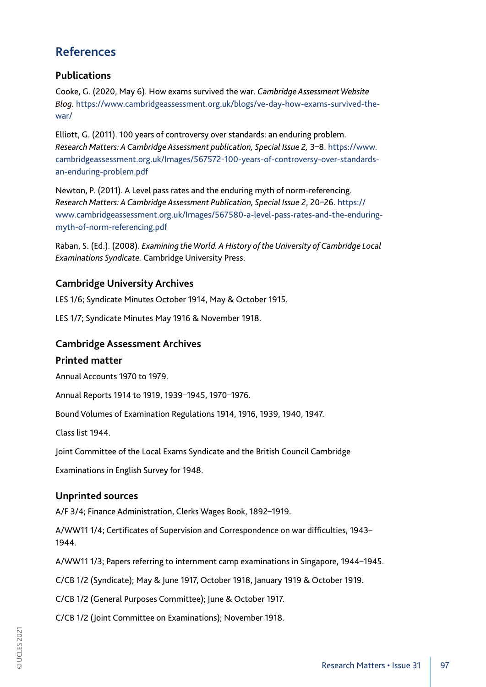# **References**

# **Publications**

Cooke, G. (2020, May 6). How exams survived the war. *Cambridge Assessment Website Blog.* https://www.cambridgeassessment.org.uk/blogs/ve-day-how-exams-survived-thewar/

Elliott, G. (2011). 100 years of controversy over standards: an enduring problem. *Research Matters: A Cambridge Assessment publication, Special Issue 2,* 3–8. https://www. cambridgeassessment.org.uk/Images/567572-100-years-of-controversy-over-standardsan-enduring-problem.pdf

Newton, P. (2011). A Level pass rates and the enduring myth of norm-referencing. *Research Matters: A Cambridge Assessment Publication, Special Issue 2*, 20–26. https:// www.cambridgeassessment.org.uk/Images/567580-a-level-pass-rates-and-the-enduringmyth-of-norm-referencing.pdf

Raban, S. (Ed.). (2008). *Examining the World. A History of the University of Cambridge Local Examinations Syndicate.* Cambridge University Press.

# **Cambridge University Archives**

LES 1/6; Syndicate Minutes October 1914, May & October 1915.

LES 1/7; Syndicate Minutes May 1916 & November 1918.

### **Cambridge Assessment Archives**

### **Printed matter**

Annual Accounts 1970 to 1979.

Annual Reports 1914 to 1919, 1939–1945, 1970–1976.

Bound Volumes of Examination Regulations 1914, 1916, 1939, 1940, 1947.

Class list 1944.

Joint Committee of the Local Exams Syndicate and the British Council Cambridge

Examinations in English Survey for 1948.

### **Unprinted sources**

A/F 3/4; Finance Administration, Clerks Wages Book, 1892–1919.

A/WW11 1/4; Certificates of Supervision and Correspondence on war difficulties, 1943– 1944.

A/WW11 1/3; Papers referring to internment camp examinations in Singapore, 1944–1945.

C/CB 1/2 (Syndicate); May & June 1917, October 1918, January 1919 & October 1919.

C/CB 1/2 (General Purposes Committee); June & October 1917.

C/CB 1/2 (Joint Committee on Examinations); November 1918.